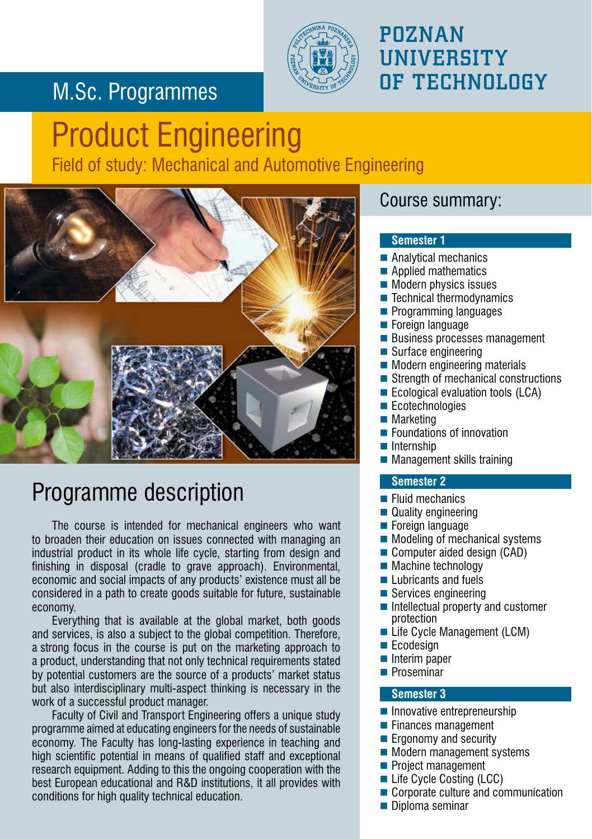## M.Sc. Programmes



### POZNAN **UNIVERSITY** OF TECHNOLOGY

# Product Engineering Field of study: Mechanical and Automotive Engineering



# Programme description

The course is intended for mechanical engineers who want to broaden their education on issues connected with managing an industrial product in its whole life cycle, starting from design and finishing in disposal (cradle to grave approach). Environmental, economic and social impacts of any products' existence must all be considered in a path to create goods suitable for future, sustainable economy.

Everything that is available at the global market, both goods and services, is also a subject to the global competition. Therefore, a strong focus in the course is put on the marketing approach to a product, understanding that not only technical requirements stated by potential customers are the source of a products' market status but also interdisciplinary multi-aspect thinking is necessary in the work of a successful product manager.

Faculty of Civil and Transport Engineering offers a unique study programme aimed at educating engineers for the needs of sustainable economy. The Faculty has long-lasting experience in teaching and high scientific potential in means of qualified staff and exceptional research equipment. Adding to this the ongoing cooperation with the best European educational and R&D institutions, it all provides with conditions for high quality technical education.

### Course summary:

#### **Semester 1**

- Analytical mechanics
- Applied mathematics
- $\blacksquare$  Modern physics issues
- $\blacksquare$  Technical thermodynamics
- **Programming languages**
- **Foreign language**
- **Business processes management**
- $\blacksquare$  Surface engineering
- **Modern engineering materials**
- Strength of mechanical constructions
- **E** Ecological evaluation tools (LCA)
- Ecotechnologies
- **Marketing**
- **Foundations of innovation**
- $\blacksquare$  Internship
- $\blacksquare$  Management skills training

#### **Semester 2**

- Fluid mechanics
- Quality engineering
- $\blacksquare$  Foreign language
- Modeling of mechanical systems
- Computer aided design (CAD)
- Machine technology
- $\blacksquare$  Lubricants and fuels
- Services engineering
- Intellectual property and customer protection
- Life Cycle Management (LCM)
- $\blacksquare$  Ecodesign
- Interim paper
- **Proseminar**

#### **Semester 3**

- $\blacksquare$  Innovative entrepreneurship
- $\blacksquare$  Finances management
- **Example 1** Ergonomy and security
- **Modern management systems**
- Project management
- Life Cycle Costing (LCC)
- Corporate culture and communication
- Diploma seminar